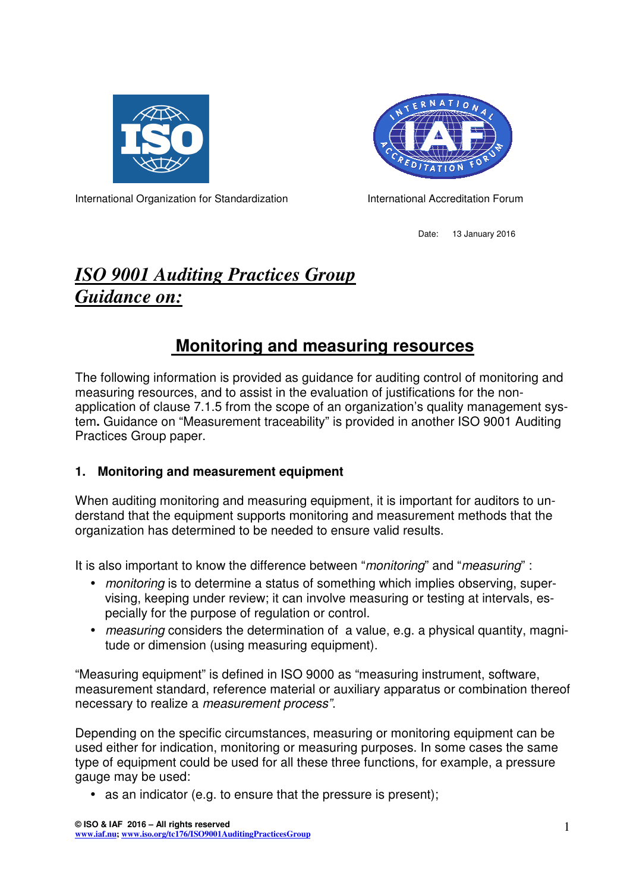



International Organization for Standardization **International Accreditation Forum** 

Date: 13 January 2016

# *ISO 9001 Auditing Practices Group Guidance on:*

# **Monitoring and measuring resources**

The following information is provided as guidance for auditing control of monitoring and measuring resources, and to assist in the evaluation of justifications for the nonapplication of clause 7.1.5 from the scope of an organization's quality management system**.** Guidance on "Measurement traceability" is provided in another ISO 9001 Auditing Practices Group paper.

## **1. Monitoring and measurement equipment**

When auditing monitoring and measuring equipment, it is important for auditors to understand that the equipment supports monitoring and measurement methods that the organization has determined to be needed to ensure valid results.

It is also important to know the difference between "*monitoring*" and "*measuring*" :

- monitoring is to determine a status of something which implies observing, supervising, keeping under review; it can involve measuring or testing at intervals, especially for the purpose of regulation or control.
- measuring considers the determination of a value, e.g. a physical quantity, magnitude or dimension (using measuring equipment).

"Measuring equipment" is defined in ISO 9000 as "measuring instrument, software, measurement standard, reference material or auxiliary apparatus or combination thereof necessary to realize a measurement process".

Depending on the specific circumstances, measuring or monitoring equipment can be used either for indication, monitoring or measuring purposes. In some cases the same type of equipment could be used for all these three functions, for example, a pressure gauge may be used:

• as an indicator (e.g. to ensure that the pressure is present);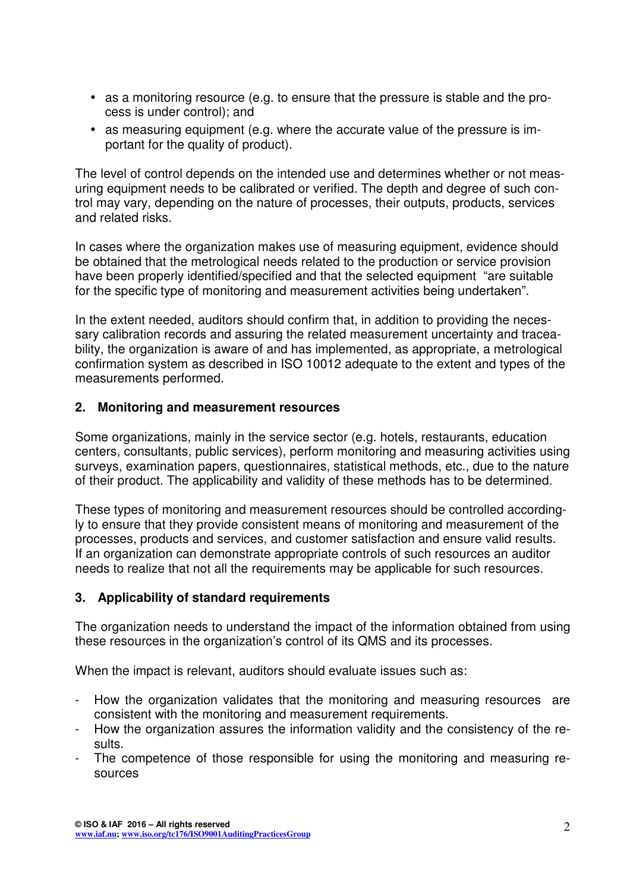- as a monitoring resource (e.g. to ensure that the pressure is stable and the process is under control); and
- as measuring equipment (e.g. where the accurate value of the pressure is important for the quality of product).

The level of control depends on the intended use and determines whether or not measuring equipment needs to be calibrated or verified. The depth and degree of such control may vary, depending on the nature of processes, their outputs, products, services and related risks.

In cases where the organization makes use of measuring equipment, evidence should be obtained that the metrological needs related to the production or service provision have been properly identified/specified and that the selected equipment "are suitable for the specific type of monitoring and measurement activities being undertaken".

In the extent needed, auditors should confirm that, in addition to providing the necessary calibration records and assuring the related measurement uncertainty and traceability, the organization is aware of and has implemented, as appropriate, a metrological confirmation system as described in ISO 10012 adequate to the extent and types of the measurements performed.

### **2. Monitoring and measurement resources**

Some organizations, mainly in the service sector (e.g. hotels, restaurants, education centers, consultants, public services), perform monitoring and measuring activities using surveys, examination papers, questionnaires, statistical methods, etc., due to the nature of their product. The applicability and validity of these methods has to be determined.

These types of monitoring and measurement resources should be controlled accordingly to ensure that they provide consistent means of monitoring and measurement of the processes, products and services, and customer satisfaction and ensure valid results. If an organization can demonstrate appropriate controls of such resources an auditor needs to realize that not all the requirements may be applicable for such resources.

### **3. Applicability of standard requirements**

The organization needs to understand the impact of the information obtained from using these resources in the organization's control of its QMS and its processes.

When the impact is relevant, auditors should evaluate issues such as:

- How the organization validates that the monitoring and measuring resources are consistent with the monitoring and measurement requirements.
- How the organization assures the information validity and the consistency of the results.
- The competence of those responsible for using the monitoring and measuring resources